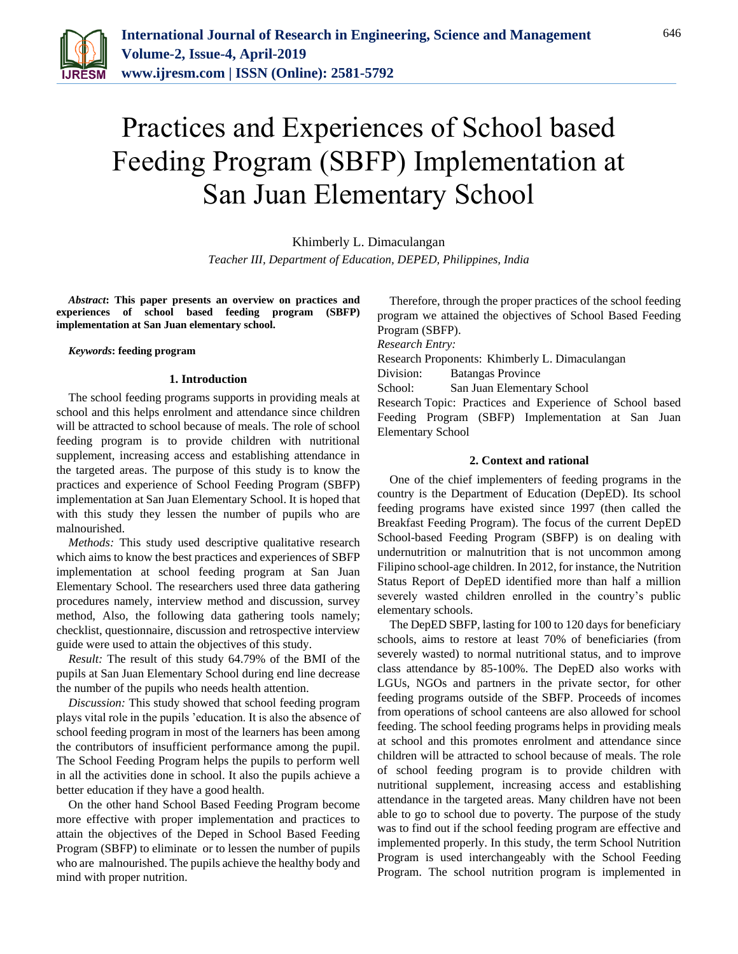

# Practices and Experiences of School based Feeding Program (SBFP) Implementation at San Juan Elementary School

Khimberly L. Dimaculangan

*Teacher III, Department of Education, DEPED, Philippines, India*

*Abstract***: This paper presents an overview on practices and experiences of school based feeding program (SBFP) implementation at San Juan elementary school.**

## *Keywords***: feeding program**

### **1. Introduction**

The school feeding programs supports in providing meals at school and this helps enrolment and attendance since children will be attracted to school because of meals. The role of school feeding program is to provide children with nutritional supplement, increasing access and establishing attendance in the targeted areas. The purpose of this study is to know the practices and experience of School Feeding Program (SBFP) implementation at San Juan Elementary School. It is hoped that with this study they lessen the number of pupils who are malnourished.

*Methods:* This study used descriptive qualitative research which aims to know the best practices and experiences of SBFP implementation at school feeding program at San Juan Elementary School. The researchers used three data gathering procedures namely, interview method and discussion, survey method, Also, the following data gathering tools namely; checklist, questionnaire, discussion and retrospective interview guide were used to attain the objectives of this study.

*Result:* The result of this study 64.79% of the BMI of the pupils at San Juan Elementary School during end line decrease the number of the pupils who needs health attention.

*Discussion:* This study showed that school feeding program plays vital role in the pupils 'education. It is also the absence of school feeding program in most of the learners has been among the contributors of insufficient performance among the pupil. The School Feeding Program helps the pupils to perform well in all the activities done in school. It also the pupils achieve a better education if they have a good health.

On the other hand School Based Feeding Program become more effective with proper implementation and practices to attain the objectives of the Deped in School Based Feeding Program (SBFP) to eliminate or to lessen the number of pupils who are malnourished. The pupils achieve the healthy body and mind with proper nutrition.

Therefore, through the proper practices of the school feeding program we attained the objectives of School Based Feeding Program (SBFP).

*Research Entry:*

Research Proponents: Khimberly L. Dimaculangan

Division: Batangas Province

School: San Juan Elementary School

Research Topic: Practices and Experience of School based Feeding Program (SBFP) Implementation at San Juan Elementary School

### **2. Context and rational**

One of the chief implementers of feeding programs in the country is the Department of Education (DepED). Its school feeding programs have existed since 1997 (then called the Breakfast Feeding Program). The focus of the current DepED School-based Feeding Program (SBFP) is on dealing with undernutrition or malnutrition that is not uncommon among Filipino school-age children. In 2012, for instance, the Nutrition Status Report of DepED identified more than half a million severely wasted children enrolled in the country's public elementary schools.

The DepED SBFP, lasting for 100 to 120 days for beneficiary schools, aims to restore at least 70% of beneficiaries (from severely wasted) to normal nutritional status, and to improve class attendance by 85-100%. The DepED also works with LGUs, NGOs and partners in the private sector, for other feeding programs outside of the SBFP. Proceeds of incomes from operations of school canteens are also allowed for school feeding. The school feeding programs helps in providing meals at school and this promotes enrolment and attendance since children will be attracted to school because of meals. The role of school feeding program is to provide children with nutritional supplement, increasing access and establishing attendance in the targeted areas. Many children have not been able to go to school due to poverty. The purpose of the study was to find out if the school feeding program are effective and implemented properly. In this study, the term School Nutrition Program is used interchangeably with the School Feeding Program. The school nutrition program is implemented in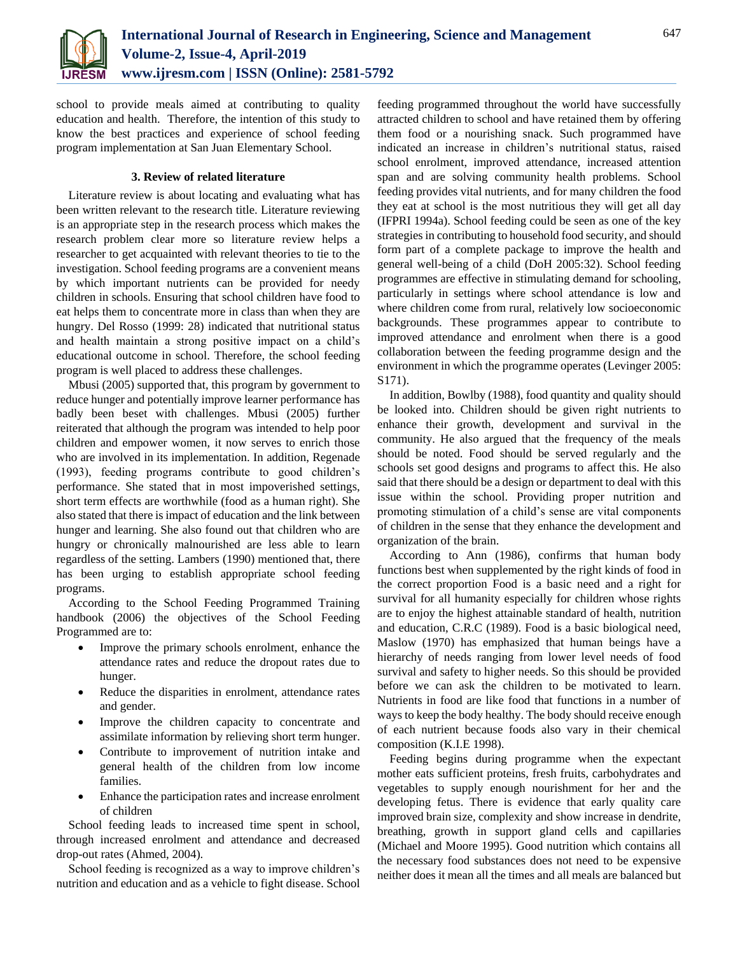

school to provide meals aimed at contributing to quality education and health. Therefore, the intention of this study to know the best practices and experience of school feeding program implementation at San Juan Elementary School.

# **3. Review of related literature**

Literature review is about locating and evaluating what has been written relevant to the research title. Literature reviewing is an appropriate step in the research process which makes the research problem clear more so literature review helps a researcher to get acquainted with relevant theories to tie to the investigation. School feeding programs are a convenient means by which important nutrients can be provided for needy children in schools. Ensuring that school children have food to eat helps them to concentrate more in class than when they are hungry. Del Rosso (1999: 28) indicated that nutritional status and health maintain a strong positive impact on a child's educational outcome in school. Therefore, the school feeding program is well placed to address these challenges.

Mbusi (2005) supported that, this program by government to reduce hunger and potentially improve learner performance has badly been beset with challenges. Mbusi (2005) further reiterated that although the program was intended to help poor children and empower women, it now serves to enrich those who are involved in its implementation. In addition, Regenade (1993), feeding programs contribute to good children's performance. She stated that in most impoverished settings, short term effects are worthwhile (food as a human right). She also stated that there is impact of education and the link between hunger and learning. She also found out that children who are hungry or chronically malnourished are less able to learn regardless of the setting. Lambers (1990) mentioned that, there has been urging to establish appropriate school feeding programs.

According to the School Feeding Programmed Training handbook (2006) the objectives of the School Feeding Programmed are to:

- Improve the primary schools enrolment, enhance the attendance rates and reduce the dropout rates due to hunger.
- Reduce the disparities in enrolment, attendance rates and gender.
- Improve the children capacity to concentrate and assimilate information by relieving short term hunger.
- Contribute to improvement of nutrition intake and general health of the children from low income families.
- Enhance the participation rates and increase enrolment of children

School feeding leads to increased time spent in school, through increased enrolment and attendance and decreased drop-out rates (Ahmed, 2004).

School feeding is recognized as a way to improve children's nutrition and education and as a vehicle to fight disease. School

feeding programmed throughout the world have successfully attracted children to school and have retained them by offering them food or a nourishing snack. Such programmed have indicated an increase in children's nutritional status, raised school enrolment, improved attendance, increased attention span and are solving community health problems. School feeding provides vital nutrients, and for many children the food they eat at school is the most nutritious they will get all day (IFPRI 1994a). School feeding could be seen as one of the key strategies in contributing to household food security, and should form part of a complete package to improve the health and general well-being of a child (DoH 2005:32). School feeding programmes are effective in stimulating demand for schooling, particularly in settings where school attendance is low and where children come from rural, relatively low socioeconomic backgrounds. These programmes appear to contribute to improved attendance and enrolment when there is a good collaboration between the feeding programme design and the environment in which the programme operates (Levinger 2005: S171).

In addition, Bowlby (1988), food quantity and quality should be looked into. Children should be given right nutrients to enhance their growth, development and survival in the community. He also argued that the frequency of the meals should be noted. Food should be served regularly and the schools set good designs and programs to affect this. He also said that there should be a design or department to deal with this issue within the school. Providing proper nutrition and promoting stimulation of a child's sense are vital components of children in the sense that they enhance the development and organization of the brain.

According to Ann (1986), confirms that human body functions best when supplemented by the right kinds of food in the correct proportion Food is a basic need and a right for survival for all humanity especially for children whose rights are to enjoy the highest attainable standard of health, nutrition and education, C.R.C (1989). Food is a basic biological need, Maslow (1970) has emphasized that human beings have a hierarchy of needs ranging from lower level needs of food survival and safety to higher needs. So this should be provided before we can ask the children to be motivated to learn. Nutrients in food are like food that functions in a number of ways to keep the body healthy. The body should receive enough of each nutrient because foods also vary in their chemical composition (K.I.E 1998).

Feeding begins during programme when the expectant mother eats sufficient proteins, fresh fruits, carbohydrates and vegetables to supply enough nourishment for her and the developing fetus. There is evidence that early quality care improved brain size, complexity and show increase in dendrite, breathing, growth in support gland cells and capillaries (Michael and Moore 1995). Good nutrition which contains all the necessary food substances does not need to be expensive neither does it mean all the times and all meals are balanced but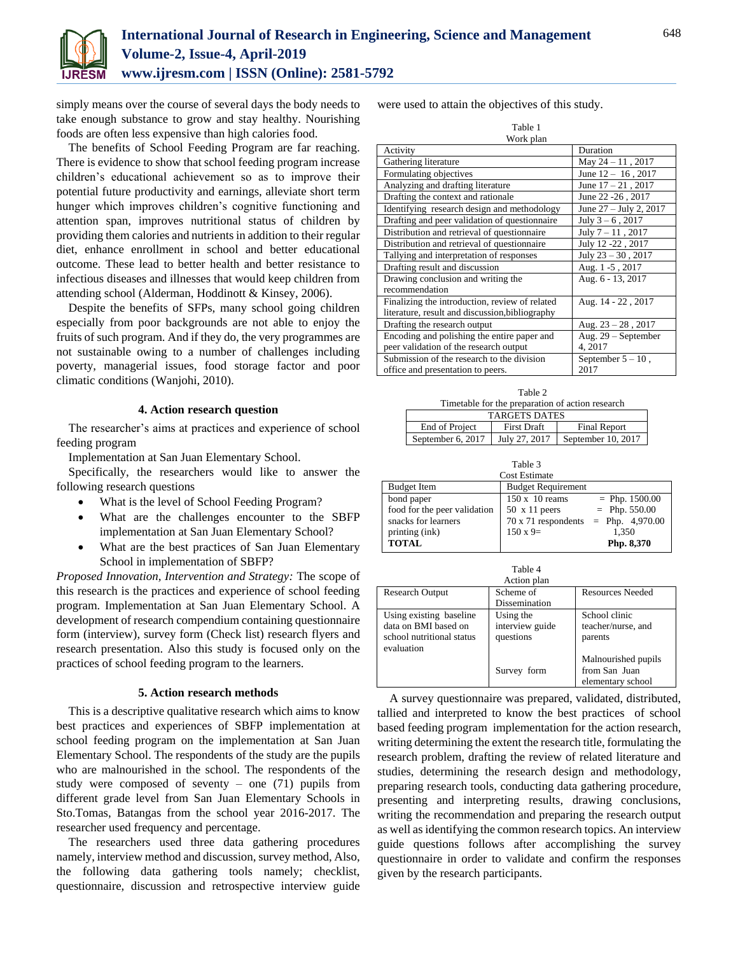

simply means over the course of several days the body needs to take enough substance to grow and stay healthy. Nourishing foods are often less expensive than high calories food.

The benefits of School Feeding Program are far reaching. There is evidence to show that school feeding program increase children's educational achievement so as to improve their potential future productivity and earnings, alleviate short term hunger which improves children's cognitive functioning and attention span, improves nutritional status of children by providing them calories and nutrients in addition to their regular diet, enhance enrollment in school and better educational outcome. These lead to better health and better resistance to infectious diseases and illnesses that would keep children from attending school (Alderman, Hoddinott & Kinsey, 2006).

Despite the benefits of SFPs, many school going children especially from poor backgrounds are not able to enjoy the fruits of such program. And if they do, the very programmes are not sustainable owing to a number of challenges including poverty, managerial issues, food storage factor and poor climatic conditions (Wanjohi, 2010).

# **4. Action research question**

The researcher's aims at practices and experience of school feeding program

Implementation at San Juan Elementary School.

Specifically, the researchers would like to answer the following research questions

- What is the level of School Feeding Program?
- What are the challenges encounter to the SBFP implementation at San Juan Elementary School?
- What are the best practices of San Juan Elementary School in implementation of SBFP?

*Proposed Innovation, Intervention and Strategy:* The scope of this research is the practices and experience of school feeding program. Implementation at San Juan Elementary School. A development of research compendium containing questionnaire form (interview), survey form (Check list) research flyers and research presentation. Also this study is focused only on the practices of school feeding program to the learners.

### **5. Action research methods**

This is a descriptive qualitative research which aims to know best practices and experiences of SBFP implementation at school feeding program on the implementation at San Juan Elementary School. The respondents of the study are the pupils who are malnourished in the school. The respondents of the study were composed of seventy – one  $(71)$  pupils from different grade level from San Juan Elementary Schools in Sto.Tomas, Batangas from the school year 2016-2017. The researcher used frequency and percentage.

The researchers used three data gathering procedures namely, interview method and discussion, survey method, Also, the following data gathering tools namely; checklist, questionnaire, discussion and retrospective interview guide

were used to attain the objectives of this study.

| --- | $\sim$ |
|-----|--------|
|     |        |

| Work plan                                       |                         |  |  |  |
|-------------------------------------------------|-------------------------|--|--|--|
| Activity                                        | Duration                |  |  |  |
| Gathering literature                            | May $24 - 11$ , 2017    |  |  |  |
| Formulating objectives                          | June $12 - 16$ , 2017   |  |  |  |
| Analyzing and drafting literature               | June $17 - 21$ , 2017   |  |  |  |
| Drafting the context and rationale              | June 22 - 26, 2017      |  |  |  |
| Identifying research design and methodology     | June 27 - July 2, 2017  |  |  |  |
| Drafting and peer validation of questionnaire   | July $3 - 6$ , 2017     |  |  |  |
| Distribution and retrieval of questionnaire     | July $7 - 11$ , 2017    |  |  |  |
| Distribution and retrieval of questionnaire     | July 12 -22, 2017       |  |  |  |
| Tallying and interpretation of responses        | July $23 - 30$ , $2017$ |  |  |  |
| Drafting result and discussion                  | Aug. 1-5, 2017          |  |  |  |
| Drawing conclusion and writing the              | Aug. 6 - 13, 2017       |  |  |  |
| recommendation                                  |                         |  |  |  |
| Finalizing the introduction, review of related  | Aug. 14 - 22, 2017      |  |  |  |
| literature, result and discussion, bibliography |                         |  |  |  |
| Drafting the research output                    | Aug. $23 - 28$ , 2017   |  |  |  |
| Encoding and polishing the entire paper and     | Aug. $29$ – September   |  |  |  |
| peer validation of the research output          | 4, 2017                 |  |  |  |
| Submission of the research to the division      | September $5 - 10$ ,    |  |  |  |
| office and presentation to peers.               | 2017                    |  |  |  |

Table 2 Timetable for the preparation of action research TARGETS DATES End of Project First Draft Final Report September 6, 2017 July 27, 2017 September 10, 2017

Table 3

| <b>Cost Estimate</b>      |                   |  |  |
|---------------------------|-------------------|--|--|
| <b>Budget Requirement</b> |                   |  |  |
| $150 \times 10$ reams     | $=$ Php. 1500.00  |  |  |
| $50 \times 11$ peers      | $=$ Php. 550.00   |  |  |
| 70 x 71 respondents       | $=$ Php. 4,970.00 |  |  |
| $150 \times 9=$           | 1.350             |  |  |
| Php. 8,370                |                   |  |  |
|                           |                   |  |  |

|                                                                              | Table 4                                   |                                                           |  |  |
|------------------------------------------------------------------------------|-------------------------------------------|-----------------------------------------------------------|--|--|
|                                                                              | Action plan                               |                                                           |  |  |
| <b>Research Output</b>                                                       | Scheme of                                 | <b>Resources Needed</b>                                   |  |  |
|                                                                              | Dissemination                             |                                                           |  |  |
| Using existing baseline<br>data on BMI based on<br>school nutritional status | Using the<br>interview guide<br>questions | School clinic<br>teacher/nurse, and<br>parents            |  |  |
| evaluation                                                                   | Survey form                               | Malnourished pupils<br>from San Juan<br>elementary school |  |  |

A survey questionnaire was prepared, validated, distributed, tallied and interpreted to know the best practices of school based feeding program implementation for the action research, writing determining the extent the research title, formulating the research problem, drafting the review of related literature and studies, determining the research design and methodology, preparing research tools, conducting data gathering procedure, presenting and interpreting results, drawing conclusions, writing the recommendation and preparing the research output as well as identifying the common research topics. An interview guide questions follows after accomplishing the survey questionnaire in order to validate and confirm the responses given by the research participants.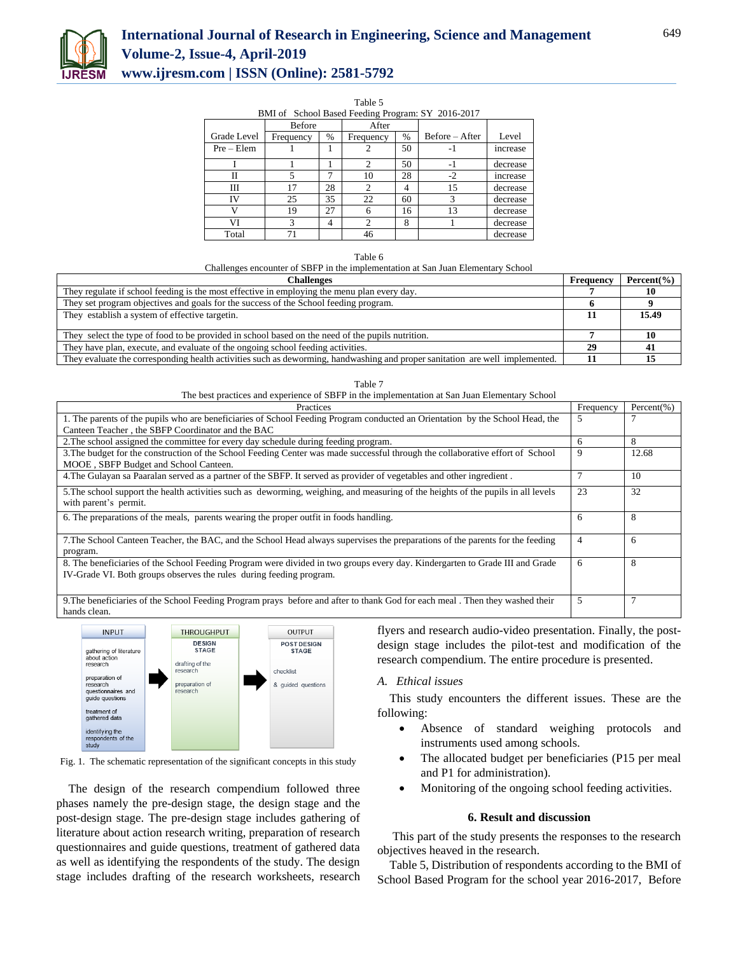

# **International Journal of Research in Engineering, Science and Management Volume-2, Issue-4, April-2019 www.ijresm.com | ISSN (Online): 2581-5792**

#### Table 5

| BMI of School Based Feeding Program: SY 2016-2017 |               |      |                             |    |                  |          |
|---------------------------------------------------|---------------|------|-----------------------------|----|------------------|----------|
|                                                   | <b>Before</b> |      | After                       |    |                  |          |
| Grade Level                                       | Frequency     | $\%$ | Frequency                   | %  | $Before - After$ | Level    |
| $Pre - Element$                                   |               |      |                             | 50 | -1               | increase |
|                                                   |               |      | $\mathcal{D}_{\mathcal{L}}$ | 50 | -1               | decrease |
| Н                                                 |               |      | 10                          | 28 | $-2$             | increase |
| Ш                                                 | 17            | 28   |                             | 4  | 15               | decrease |
| IV                                                | 25            | 35   | 22                          | 60 | 3                | decrease |
|                                                   | 19            | 27   | 6                           | 16 | 13               | decrease |
| VI                                                | 3             | 4    | $\mathfrak{D}$              | 8  |                  | decrease |
| Total                                             | 71            |      | 46                          |    |                  | decrease |

Challenges encounter of SBFP in the implementation at San Juan Elementary School

| Challenges                                                                                                                   | Frequency | Percent $(\% )$ |
|------------------------------------------------------------------------------------------------------------------------------|-----------|-----------------|
| They regulate if school feeding is the most effective in employing the menu plan every day.                                  |           |                 |
| They set program objectives and goals for the success of the School feeding program.                                         |           |                 |
| They establish a system of effective targetin.                                                                               |           | 15.49           |
|                                                                                                                              |           |                 |
| They select the type of food to be provided in school based on the need of the pupils nutrition.                             |           |                 |
| They have plan, execute, and evaluate of the ongoing school feeding activities.                                              | 29        |                 |
| They evaluate the corresponding health activities such as deworming, handwashing and proper sanitation are well implemented. |           |                 |

The best practices and experience of SBFP in the implementation at San Juan Elementary School

| <b>Practices</b>                                                                                                                                                                                    | Frequency      | Percent $(\% )$ |
|-----------------------------------------------------------------------------------------------------------------------------------------------------------------------------------------------------|----------------|-----------------|
| 1. The parents of the pupils who are beneficiaries of School Feeding Program conducted an Orientation by the School Head, the<br>Canteen Teacher, the SBFP Coordinator and the BAC                  | 5              |                 |
| 2. The school assigned the committee for every day schedule during feeding program.                                                                                                                 | 6              | 8               |
| 3. The budget for the construction of the School Feeding Center was made successful through the collaborative effort of School<br>MOOE, SBFP Budget and School Canteen.                             | 9              | 12.68           |
| 4. The Gulayan sa Paaralan served as a partner of the SBFP. It served as provider of vegetables and other ingredient.                                                                               |                | 10              |
| 5. The school support the health activities such as deworming, weighing, and measuring of the heights of the pupils in all levels<br>with parent's permit.                                          | 23             | 32              |
| 6. The preparations of the meals, parents wearing the proper outfit in foods handling.                                                                                                              | 6              | 8               |
| 7. The School Canteen Teacher, the BAC, and the School Head always supervises the preparations of the parents for the feeding<br>program.                                                           | $\overline{4}$ | 6               |
| 8. The beneficiaries of the School Feeding Program were divided in two groups every day. Kindergarten to Grade III and Grade<br>IV-Grade VI. Both groups observes the rules during feeding program. | 6              | 8               |
| 9. The beneficiaries of the School Feeding Program prays before and after to thank God for each meal. Then they washed their<br>hande eleen.                                                        | 5              |                 |



Fig. 1. The schematic representation of the significant concepts in this study

The design of the research compendium followed three phases namely the pre-design stage, the design stage and the post-design stage. The pre-design stage includes gathering of literature about action research writing, preparation of research questionnaires and guide questions, treatment of gathered data as well as identifying the respondents of the study. The design stage includes drafting of the research worksheets, research flyers and research audio-video presentation. Finally, the postdesign stage includes the pilot-test and modification of the research compendium. The entire procedure is presented.

## *A. Ethical issues*

This study encounters the different issues. These are the following:

- Absence of standard weighing protocols and instruments used among schools.
- The allocated budget per beneficiaries (P15 per meal and P1 for administration).
- Monitoring of the ongoing school feeding activities.

# **6. Result and discussion**

This part of the study presents the responses to the research objectives heaved in the research.

Table 5, Distribution of respondents according to the BMI of School Based Program for the school year 2016-2017, Before